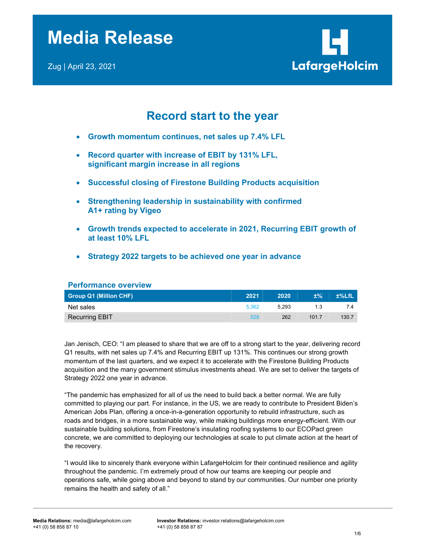

# Record start to the year

- Growth momentum continues, net sales up 7.4% LFL
- Record quarter with increase of EBIT by 131% LFL, significant margin increase in all regions
- Successful closing of Firestone Building Products acquisition
- Strengthening leadership in sustainability with confirmed A1+ rating by Vigeo
- Growth trends expected to accelerate in 2021, Recurring EBIT growth of at least 10% LFL
- Strategy 2022 targets to be achieved one year in advance

| <b>Performance overview</b>   |       |       |       |          |
|-------------------------------|-------|-------|-------|----------|
| <b>Group Q1 (Million CHF)</b> | 2021  | 2020  | ±%    | $±%$ LfL |
| Net sales                     | 5.362 | 5.293 | 1.3   | 7.4      |
| <b>Recurring EBIT</b>         | 528   | 262   | 101.7 | 130.7    |

Jan Jenisch, CEO: "I am pleased to share that we are off to a strong start to the year, delivering record Q1 results, with net sales up 7.4% and Recurring EBIT up 131%. This continues our strong growth momentum of the last quarters, and we expect it to accelerate with the Firestone Building Products acquisition and the many government stimulus investments ahead. We are set to deliver the targets of Strategy 2022 one year in advance.

"The pandemic has emphasized for all of us the need to build back a better normal. We are fully committed to playing our part. For instance, in the US, we are ready to contribute to President Biden's American Jobs Plan, offering a once-in-a-generation opportunity to rebuild infrastructure, such as roads and bridges, in a more sustainable way, while making buildings more energy-efficient. With our sustainable building solutions, from Firestone's insulating roofing systems to our ECOPact green concrete, we are committed to deploying our technologies at scale to put climate action at the heart of the recovery.

"I would like to sincerely thank everyone within LafargeHolcim for their continued resilience and agility throughout the pandemic. I'm extremely proud of how our teams are keeping our people and operations safe, while going above and beyond to stand by our communities. Our number one priority remains the health and safety of all."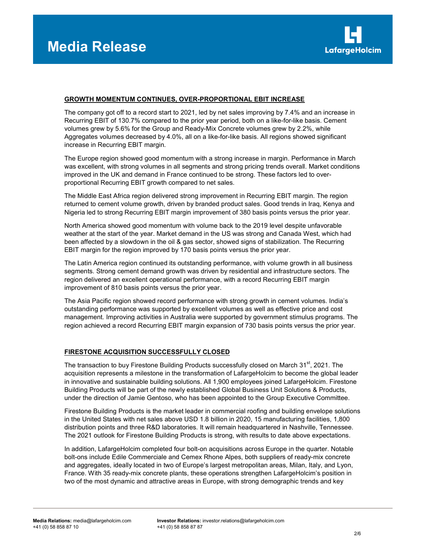

## GROWTH MOMENTUM CONTINUES, OVER-PROPORTIONAL EBIT INCREASE

The company got off to a record start to 2021, led by net sales improving by 7.4% and an increase in Recurring EBIT of 130.7% compared to the prior year period, both on a like-for-like basis. Cement volumes grew by 5.6% for the Group and Ready-Mix Concrete volumes grew by 2.2%, while Aggregates volumes decreased by 4.0%, all on a like-for-like basis. All regions showed significant increase in Recurring EBIT margin.

The Europe region showed good momentum with a strong increase in margin. Performance in March was excellent, with strong volumes in all segments and strong pricing trends overall. Market conditions improved in the UK and demand in France continued to be strong. These factors led to overproportional Recurring EBIT growth compared to net sales.

The Middle East Africa region delivered strong improvement in Recurring EBIT margin. The region returned to cement volume growth, driven by branded product sales. Good trends in Iraq, Kenya and Nigeria led to strong Recurring EBIT margin improvement of 380 basis points versus the prior year.

North America showed good momentum with volume back to the 2019 level despite unfavorable weather at the start of the year. Market demand in the US was strong and Canada West, which had been affected by a slowdown in the oil & gas sector, showed signs of stabilization. The Recurring EBIT margin for the region improved by 170 basis points versus the prior year.

The Latin America region continued its outstanding performance, with volume growth in all business segments. Strong cement demand growth was driven by residential and infrastructure sectors. The region delivered an excellent operational performance, with a record Recurring EBIT margin improvement of 810 basis points versus the prior year.

The Asia Pacific region showed record performance with strong growth in cement volumes. India's outstanding performance was supported by excellent volumes as well as effective price and cost management. Improving activities in Australia were supported by government stimulus programs. The region achieved a record Recurring EBIT margin expansion of 730 basis points versus the prior year.

### FIRESTONE ACQUISITION SUCCESSFULLY CLOSED

The transaction to buy Firestone Building Products successfully closed on March  $31<sup>st</sup>$ , 2021. The acquisition represents a milestone in the transformation of LafargeHolcim to become the global leader in innovative and sustainable building solutions. All 1,900 employees joined LafargeHolcim. Firestone Building Products will be part of the newly established Global Business Unit Solutions & Products, under the direction of Jamie Gentoso, who has been appointed to the Group Executive Committee.

Firestone Building Products is the market leader in commercial roofing and building envelope solutions in the United States with net sales above USD 1.8 billion in 2020, 15 manufacturing facilities, 1,800 distribution points and three R&D laboratories. It will remain headquartered in Nashville, Tennessee. The 2021 outlook for Firestone Building Products is strong, with results to date above expectations.

In addition, LafargeHolcim completed four bolt-on acquisitions across Europe in the quarter. Notable bolt-ons include Edile Commerciale and Cemex Rhone Alpes, both suppliers of ready-mix concrete and aggregates, ideally located in two of Europe's largest metropolitan areas, Milan, Italy, and Lyon, France. With 35 ready-mix concrete plants, these operations strengthen LafargeHolcim's position in two of the most dynamic and attractive areas in Europe, with strong demographic trends and key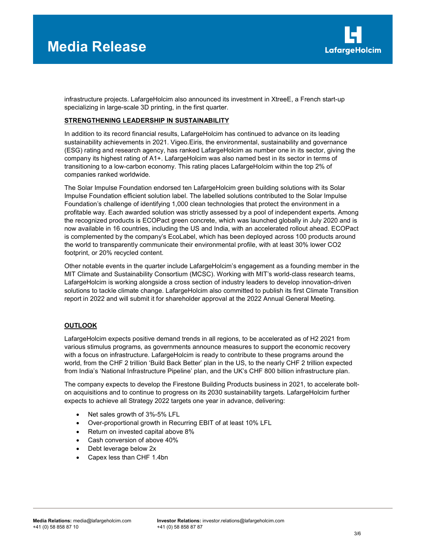

infrastructure projects. LafargeHolcim also announced its investment in XtreeE, a French start-up specializing in large-scale 3D printing, in the first quarter.

## STRENGTHENING LEADERSHIP IN SUSTAINABILITY

In addition to its record financial results, LafargeHolcim has continued to advance on its leading sustainability achievements in 2021. Vigeo.Eiris, the environmental, sustainability and governance (ESG) rating and research agency, has ranked LafargeHolcim as number one in its sector, giving the company its highest rating of A1+. LafargeHolcim was also named best in its sector in terms of transitioning to a low-carbon economy. This rating places LafargeHolcim within the top 2% of companies ranked worldwide.

The Solar Impulse Foundation endorsed ten LafargeHolcim green building solutions with its Solar Impulse Foundation efficient solution label. The labelled solutions contributed to the Solar Impulse Foundation's challenge of identifying 1,000 clean technologies that protect the environment in a profitable way. Each awarded solution was strictly assessed by a pool of independent experts. Among the recognized products is ECOPact green concrete, which was launched globally in July 2020 and is now available in 16 countries, including the US and India, with an accelerated rollout ahead. ECOPact is complemented by the company's EcoLabel, which has been deployed across 100 products around the world to transparently communicate their environmental profile, with at least 30% lower CO2 footprint, or 20% recycled content.

Other notable events in the quarter include LafargeHolcim's engagement as a founding member in the MIT Climate and Sustainability Consortium (MCSC). Working with MIT's world-class research teams, LafargeHolcim is working alongside a cross section of industry leaders to develop innovation-driven solutions to tackle climate change. LafargeHolcim also committed to publish its first Climate Transition report in 2022 and will submit it for shareholder approval at the 2022 Annual General Meeting.

# **OUTLOOK**

LafargeHolcim expects positive demand trends in all regions, to be accelerated as of H2 2021 from various stimulus programs, as governments announce measures to support the economic recovery with a focus on infrastructure. LafargeHolcim is ready to contribute to these programs around the world, from the CHF 2 trillion 'Build Back Better' plan in the US, to the nearly CHF 2 trillion expected from India's 'National Infrastructure Pipeline' plan, and the UK's CHF 800 billion infrastructure plan.

The company expects to develop the Firestone Building Products business in 2021, to accelerate bolton acquisitions and to continue to progress on its 2030 sustainability targets. LafargeHolcim further expects to achieve all Strategy 2022 targets one year in advance, delivering:

- Net sales growth of 3%-5% LFL
- Over-proportional growth in Recurring EBIT of at least 10% LFL
- Return on invested capital above 8%
- Cash conversion of above 40%
- Debt leverage below 2x
- Capex less than CHF 1.4bn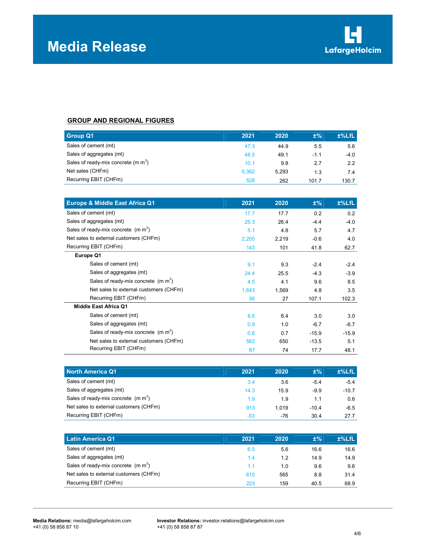

# GROUP AND REGIONAL FIGURES

| <b>Group Q1</b>                        | 2021  | 2020  | $±\%$  | $±%$ LfL |
|----------------------------------------|-------|-------|--------|----------|
| Sales of cement (mt)                   | 47.3  | 44.9  | 5.5    | 5.6      |
| Sales of aggregates (mt)               | 48.5  | 49.1  | $-1.1$ | $-4.0$   |
| Sales of ready-mix concrete (m $m^3$ ) | 10.1  | 9.8   | 2.7    | 2.2      |
| Net sales (CHFm)                       | 5.362 | 5.293 | 1.3    | 7.4      |
| Recurring EBIT (CHFm)                  | 528   | 262   | 101.7  | 130.7    |

| <b>Europe &amp; Middle East Africa Q1</b>       | 2021  | 2020  | $±\%$   | $±%$ LfL |
|-------------------------------------------------|-------|-------|---------|----------|
| Sales of cement (mt)                            | 17.7  | 17.7  | 0.2     | 0.2      |
| Sales of aggregates (mt)                        | 25.3  | 26.4  | $-4.4$  | $-4.0$   |
| Sales of ready-mix concrete $(m m3)$            | 5.1   | 4.8   | 5.7     | 4.7      |
| Net sales to external customers (CHFm)          | 2,205 | 2,219 | $-0.6$  | 4.0      |
| Recurring EBIT (CHFm)                           | 143   | 101   | 41.8    | 62.7     |
| Europe Q1                                       |       |       |         |          |
| Sales of cement (mt)                            | 9.1   | 9.3   | $-2.4$  | $-2.4$   |
| Sales of aggregates (mt)                        | 24.4  | 25.5  | $-4.3$  | $-3.9$   |
| Sales of ready-mix concrete (m m <sup>3</sup> ) | 4.5   | 4.1   | 9.6     | 8.5      |
| Net sales to external customers (CHFm)          | 1,643 | 1,569 | 4.8     | 3.5      |
| Recurring EBIT (CHFm)                           | 56    | 27    | 107.1   | 102.3    |
| <b>Middle East Africa Q1</b>                    |       |       |         |          |
| Sales of cement (mt)                            | 8.6   | 8.4   | 3.0     | 3.0      |
| Sales of aggregates (mt)                        | 0.9   | 1.0   | $-6.7$  | $-6.7$   |
| Sales of ready-mix concrete $(m m3)$            | 0.6   | 0.7   | $-15.9$ | $-15.9$  |
| Net sales to external customers (CHFm)          | 562   | 650   | $-13.5$ | 5.1      |
| Recurring EBIT (CHFm)                           | 87    | 74    | 17.7    | 48.1     |

| North America Q1                       | 2021  | 2020  | $±\%$   | $±%$ LfL |
|----------------------------------------|-------|-------|---------|----------|
| Sales of cement (mt)                   | 3.4   | 3.6   | $-5.4$  | $-5.4$   |
| Sales of aggregates (mt)               | 14.3  | 15.9  | $-9.9$  | $-10.7$  |
| Sales of ready-mix concrete $(m m3)$   | 1.9   | 1.9   | 1.1     | 0.6      |
| Net sales to external customers (CHFm) | 913   | 1.019 | $-10.4$ | $-6.5$   |
| Recurring EBIT (CHFm)                  | $-53$ | -76   | 30.4    | 27.7     |

| Latin America Q1                       | 2021 | 2020 | $±\%$ | $±%$ LfL |
|----------------------------------------|------|------|-------|----------|
| Sales of cement (mt)                   | 6.5  | 5.6  | 16.6  | 16.6     |
| Sales of aggregates (mt)               | 1.4  | 1.2  | 14.9  | 14.9     |
| Sales of ready-mix concrete $(m m3)$   | 1.1  | 1.0  | 9.6   | 9.6      |
| Net sales to external customers (CHFm) | 615  | 565  | 8.8   | 31.4     |
| Recurring EBIT (CHFm)                  | 223  | 159  | 40.5  | 68.9     |

Media Relations: media@lafargeholcim.com Investor Relations: investor relations@lafargeholcim.com<br>+41 (0) 58 858 87 87<br>
+41 (0) 58 858 87 87 +41 (0) 58 858 87 87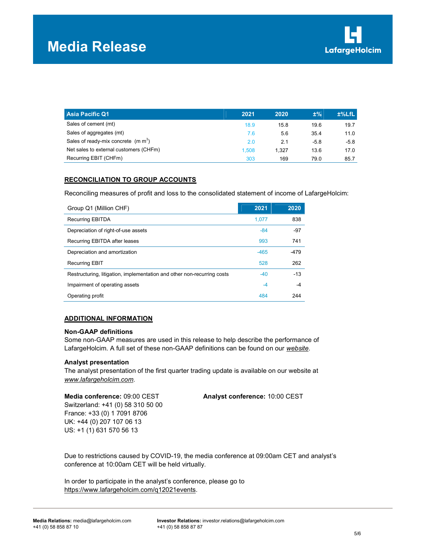| Asia Pacific Q1                        | 2021  | 2020  | $±\%$  | $±%$ LfL |
|----------------------------------------|-------|-------|--------|----------|
| Sales of cement (mt)                   | 18.9  | 15.8  | 19.6   | 19.7     |
| Sales of aggregates (mt)               | 7.6   | 5.6   | 35.4   | 11.0     |
| Sales of ready-mix concrete $(m m3)$   | 2.0   | 2.1   | $-5.8$ | $-5.8$   |
| Net sales to external customers (CHFm) | 1.508 | 1.327 | 13.6   | 17.0     |
| Recurring EBIT (CHFm)                  | 303   | 169   | 79.0   | 85.7     |

## RECONCILIATION TO GROUP ACCOUNTS

Reconciling measures of profit and loss to the consolidated statement of income of LafargeHolcim:

| Group Q1 (Million CHF)                                                  | 2021   | 2020   |
|-------------------------------------------------------------------------|--------|--------|
| <b>Recurring EBITDA</b>                                                 | 1.077  | 838    |
| Depreciation of right-of-use assets                                     | $-84$  | $-97$  |
| Recurring EBITDA after leases                                           | 993    | 741    |
| Depreciation and amortization                                           | $-465$ | $-479$ |
| <b>Recurring EBIT</b>                                                   | 528    | 262    |
| Restructuring, litigation, implementation and other non-recurring costs | $-40$  | $-13$  |
| Impairment of operating assets                                          | -4     | -4     |
| Operating profit                                                        | 484    | 244    |

#### ADDITIONAL INFORMATION

#### Non-GAAP definitions

Some non-GAAP measures are used in this release to help describe the performance of LafargeHolcim. A full set of these non-GAAP definitions can be found on our website.

#### Analyst presentation

The analyst presentation of the first quarter trading update is available on our website at www.lafargeholcim.com.

Switzerland: +41 (0) 58 310 50 00 France: +33 (0) 1 7091 8706 UK: +44 (0) 207 107 06 13 US: +1 (1) 631 570 56 13

Media conference: 09:00 CEST Analyst conference: 10:00 CEST

Due to restrictions caused by COVID-19, the media conference at 09:00am CET and analyst's conference at 10:00am CET will be held virtually.

In order to participate in the analyst's conference, please go to https://www.lafargeholcim.com/q12021events.